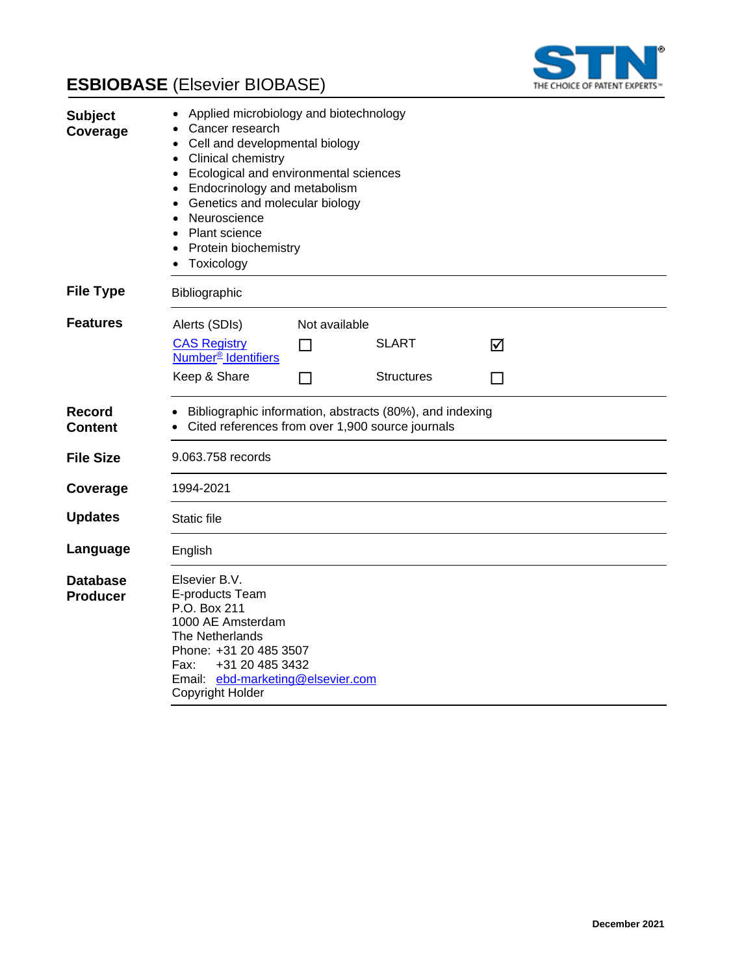



| <b>Subject</b><br>Coverage         | Applied microbiology and biotechnology<br>Cancer research<br>Cell and developmental biology<br><b>Clinical chemistry</b><br>$\bullet$<br>Ecological and environmental sciences<br>$\bullet$<br>Endocrinology and metabolism<br>$\bullet$<br>Genetics and molecular biology<br>$\bullet$<br>Neuroscience<br>$\bullet$<br>Plant science<br>Protein biochemistry<br>Toxicology |               |                   |        |  |
|------------------------------------|-----------------------------------------------------------------------------------------------------------------------------------------------------------------------------------------------------------------------------------------------------------------------------------------------------------------------------------------------------------------------------|---------------|-------------------|--------|--|
| <b>File Type</b>                   | Bibliographic                                                                                                                                                                                                                                                                                                                                                               |               |                   |        |  |
| <b>Features</b>                    | Alerts (SDIs)                                                                                                                                                                                                                                                                                                                                                               | Not available |                   |        |  |
|                                    | <b>CAS Registry</b><br>Number <sup>®</sup> Identifiers                                                                                                                                                                                                                                                                                                                      | $\mathsf{L}$  | <b>SLART</b>      | ☑      |  |
|                                    | Keep & Share                                                                                                                                                                                                                                                                                                                                                                | $\sim$        | <b>Structures</b> | $\Box$ |  |
| <b>Record</b><br><b>Content</b>    | Bibliographic information, abstracts (80%), and indexing<br>Cited references from over 1,900 source journals                                                                                                                                                                                                                                                                |               |                   |        |  |
| <b>File Size</b>                   | 9.063.758 records                                                                                                                                                                                                                                                                                                                                                           |               |                   |        |  |
| Coverage                           | 1994-2021                                                                                                                                                                                                                                                                                                                                                                   |               |                   |        |  |
| <b>Updates</b>                     | <b>Static file</b>                                                                                                                                                                                                                                                                                                                                                          |               |                   |        |  |
| Language                           | English                                                                                                                                                                                                                                                                                                                                                                     |               |                   |        |  |
| <b>Database</b><br><b>Producer</b> | Elsevier B.V.<br>E-products Team<br>P.O. Box 211<br>1000 AE Amsterdam<br>The Netherlands<br>Phone: +31 20 485 3507<br>+31 20 485 3432<br>Fax:<br>Email: ebd-marketing@elsevier.com<br>Copyright Holder                                                                                                                                                                      |               |                   |        |  |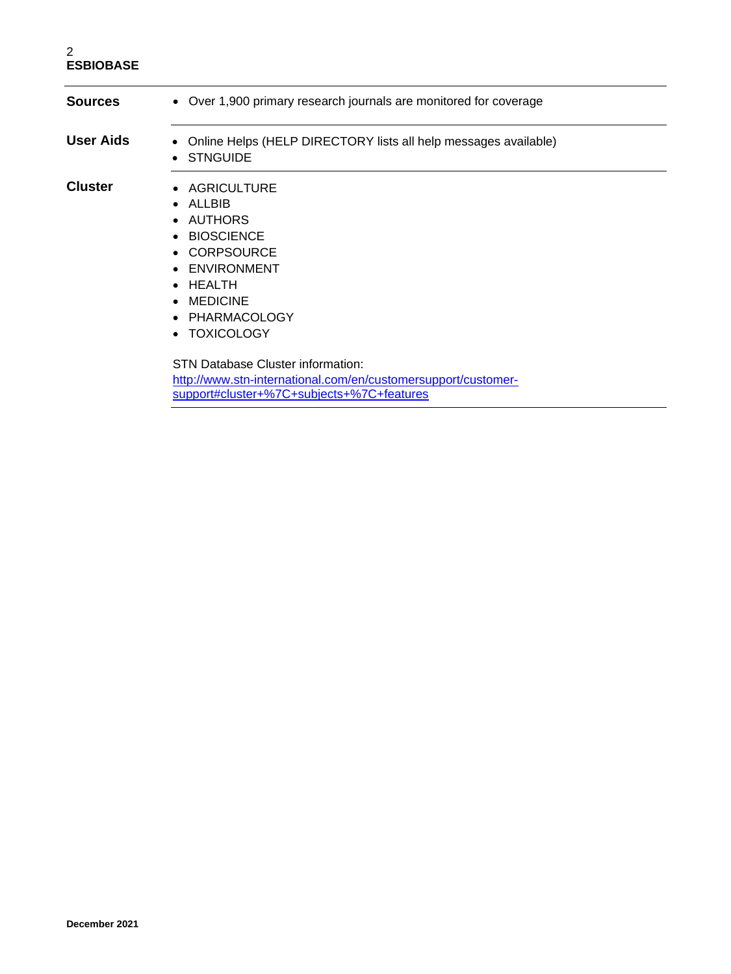### 2 **ESBIOBASE**

l,

| Sources          | • Over 1,900 primary research journals are monitored for coverage                                                                                                   |  |
|------------------|---------------------------------------------------------------------------------------------------------------------------------------------------------------------|--|
| <b>User Aids</b> | • Online Helps (HELP DIRECTORY lists all help messages available)<br>• STNGUIDE                                                                                     |  |
| <b>Cluster</b>   | • AGRICULTURE<br>$\bullet$ ALLBIB<br>• AUTHORS<br>• BIOSCIENCE<br>• CORPSOURCE<br>• ENVIRONMENT<br>$\bullet$ HEALTH<br>• MEDICINE<br>• PHARMACOLOGY<br>• TOXICOLOGY |  |
|                  | <b>STN Database Cluster information:</b>                                                                                                                            |  |

[http://www.stn-international.com/en/customersupport/customer](http://www.stn-international.com/en/customersupport/customer-support#cluster+%7C+subjects+%7C+features)[support#cluster+%7C+subjects+%7C+features](http://www.stn-international.com/en/customersupport/customer-support#cluster+%7C+subjects+%7C+features)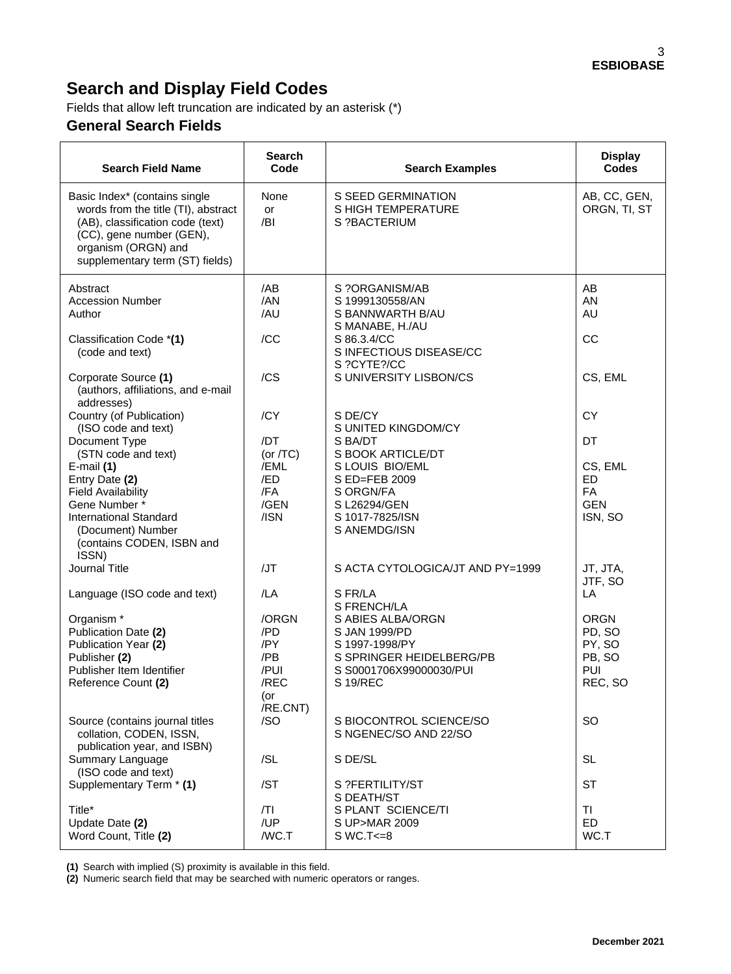# **Search and Display Field Codes**

Fields that allow left truncation are indicated by an asterisk (\*)

# **General Search Fields**

| <b>Search Field Name</b>                                                                                                                                                                       | <b>Search</b><br>Code | <b>Search Examples</b>                                                   | <b>Display</b><br>Codes      |
|------------------------------------------------------------------------------------------------------------------------------------------------------------------------------------------------|-----------------------|--------------------------------------------------------------------------|------------------------------|
| Basic Index* (contains single<br>words from the title (TI), abstract<br>(AB), classification code (text)<br>(CC), gene number (GEN),<br>organism (ORGN) and<br>supplementary term (ST) fields) | None<br>or<br>/BI     | S SEED GERMINATION<br><b>SHIGH TEMPERATURE</b><br>S ?BACTERIUM           | AB, CC, GEN,<br>ORGN, TI, ST |
| Abstract<br><b>Accession Number</b><br>Author                                                                                                                                                  | /AB<br>/AN<br>/AU     | S ?ORGANISM/AB<br>S 1999130558/AN<br>S BANNWARTH B/AU<br>S MANABE, H./AU | AB<br>AN<br>AU               |
| Classification Code *(1)<br>(code and text)                                                                                                                                                    | /CC                   | S 86.3.4/CC<br>S INFECTIOUS DISEASE/CC<br>S ?CYTE?/CC                    | CC                           |
| Corporate Source (1)<br>(authors, affiliations, and e-mail<br>addresses)                                                                                                                       | /CS                   | S UNIVERSITY LISBON/CS                                                   | CS, EML                      |
| Country (of Publication)<br>(ISO code and text)                                                                                                                                                | /CY                   | S DE/CY<br>S UNITED KINGDOM/CY                                           | <b>CY</b>                    |
| Document Type<br>(STN code and text)                                                                                                                                                           | /DT<br>(or $/TC$ )    | S BA/DT<br>S BOOK ARTICLE/DT                                             | DT                           |
| E-mail $(1)$<br>Entry Date (2)                                                                                                                                                                 | /EML<br>/ED           | S LOUIS BIO/EML<br>S ED=FEB 2009                                         | CS, EML<br><b>ED</b>         |
| <b>Field Availability</b>                                                                                                                                                                      | /FA                   | S ORGN/FA                                                                | FA                           |
| Gene Number *<br><b>International Standard</b><br>(Document) Number<br>(contains CODEN, ISBN and<br>ISSN)                                                                                      | /GEN<br>/ISN          | S L26294/GEN<br>S 1017-7825/ISN<br>S ANEMDG/ISN                          | <b>GEN</b><br>ISN, SO        |
| Journal Title                                                                                                                                                                                  | /JT                   | S ACTA CYTOLOGICA/JT AND PY=1999                                         | JT, JTA,<br>JTF, SO          |
| Language (ISO code and text)                                                                                                                                                                   | /LA                   | S FR/LA<br>S FRENCH/LA                                                   | LA                           |
| Organism <sup>*</sup><br>Publication Date (2)                                                                                                                                                  | /ORGN<br>/PD          | S ABIES ALBA/ORGN<br>S JAN 1999/PD                                       | <b>ORGN</b><br>PD, SO        |
| Publication Year (2)                                                                                                                                                                           | /PY                   | S 1997-1998/PY                                                           | PY, SO                       |
| Publisher (2)<br>Publisher Item Identifier                                                                                                                                                     | /PB<br>/PUI           | S SPRINGER HEIDELBERG/PB<br>S S0001706X99000030/PUI                      | PB, SO<br>PUI                |
| Reference Count (2)                                                                                                                                                                            | /REC<br>(or           | <b>S19/REC</b>                                                           | REC, SO                      |
| Source (contains journal titles<br>collation, CODEN, ISSN,<br>publication year, and ISBN)                                                                                                      | /RE.CNT)<br>/SO       | S BIOCONTROL SCIENCE/SO<br>S NGENEC/SO AND 22/SO                         | <b>SO</b>                    |
| Summary Language<br>(ISO code and text)                                                                                                                                                        | /SL                   | S DE/SL                                                                  | <b>SL</b>                    |
| Supplementary Term * (1)                                                                                                                                                                       | /ST                   | S ?FERTILITY/ST<br>S DEATH/ST                                            | <b>ST</b>                    |
| Title*                                                                                                                                                                                         | T                     | S PLANT SCIENCE/TI                                                       | ΤI                           |
| Update Date (2)<br>Word Count, Title (2)                                                                                                                                                       | /UP<br>/WC.T          | S UP>MAR 2009<br>$SWC.T < = 8$                                           | <b>ED</b><br>WC.T            |

**(1)** Search with implied (S) proximity is available in this field.

**(2)** Numeric search field that may be searched with numeric operators or ranges.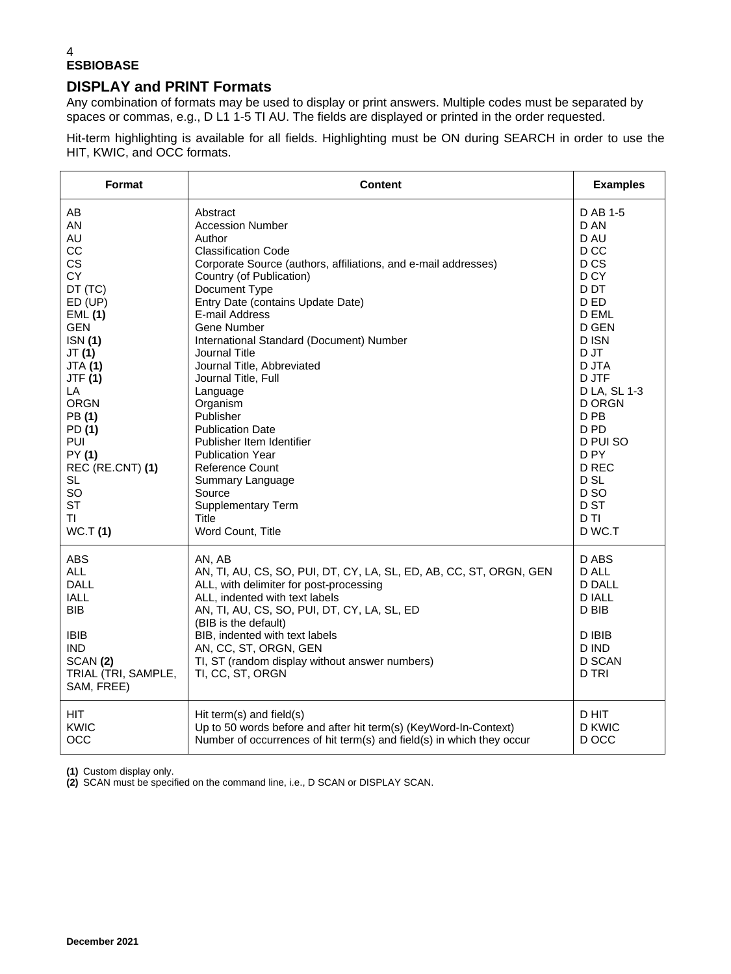### 4 **ESBIOBASE**

## **DISPLAY and PRINT Formats**

Any combination of formats may be used to display or print answers. Multiple codes must be separated by spaces or commas, e.g., D L1 1-5 TI AU. The fields are displayed or printed in the order requested.

Hit-term highlighting is available for all fields. Highlighting must be ON during SEARCH in order to use the HIT, KWIC, and OCC formats.

| Format                                                                                                                                     | <b>Content</b>                                                                                                                                                                                                                                                                                                                                                    | <b>Examples</b>                                                                                 |
|--------------------------------------------------------------------------------------------------------------------------------------------|-------------------------------------------------------------------------------------------------------------------------------------------------------------------------------------------------------------------------------------------------------------------------------------------------------------------------------------------------------------------|-------------------------------------------------------------------------------------------------|
| AB                                                                                                                                         | Abstract                                                                                                                                                                                                                                                                                                                                                          | D AB 1-5                                                                                        |
| AN                                                                                                                                         | <b>Accession Number</b>                                                                                                                                                                                                                                                                                                                                           | D AN                                                                                            |
| AU                                                                                                                                         | Author                                                                                                                                                                                                                                                                                                                                                            | D AU                                                                                            |
| CC                                                                                                                                         | <b>Classification Code</b>                                                                                                                                                                                                                                                                                                                                        | D <sub>CC</sub>                                                                                 |
| <b>CS</b>                                                                                                                                  | Corporate Source (authors, affiliations, and e-mail addresses)                                                                                                                                                                                                                                                                                                    | D <sub>CS</sub>                                                                                 |
| <b>CY</b>                                                                                                                                  | Country (of Publication)                                                                                                                                                                                                                                                                                                                                          | D <sub>CY</sub>                                                                                 |
| DT (TC)                                                                                                                                    | Document Type                                                                                                                                                                                                                                                                                                                                                     | D <sub>D</sub> T                                                                                |
| ED (UP)                                                                                                                                    | Entry Date (contains Update Date)                                                                                                                                                                                                                                                                                                                                 | D ED                                                                                            |
| <b>EML (1)</b>                                                                                                                             | E-mail Address                                                                                                                                                                                                                                                                                                                                                    | D EML                                                                                           |
| <b>GEN</b>                                                                                                                                 | Gene Number                                                                                                                                                                                                                                                                                                                                                       | D GEN                                                                                           |
| ISN(1)                                                                                                                                     | International Standard (Document) Number                                                                                                                                                                                                                                                                                                                          | D ISN                                                                                           |
| JT(1)                                                                                                                                      | Journal Title                                                                                                                                                                                                                                                                                                                                                     | D JT                                                                                            |
| <b>JTA (1)</b>                                                                                                                             | Journal Title, Abbreviated                                                                                                                                                                                                                                                                                                                                        | D JTA                                                                                           |
| <b>JTF (1)</b>                                                                                                                             | Journal Title, Full                                                                                                                                                                                                                                                                                                                                               | D JTF                                                                                           |
| LA                                                                                                                                         | Language                                                                                                                                                                                                                                                                                                                                                          | D LA, SL 1-3                                                                                    |
| <b>ORGN</b>                                                                                                                                | Organism                                                                                                                                                                                                                                                                                                                                                          | <b>D ORGN</b>                                                                                   |
| PB (1)                                                                                                                                     | <b>Publisher</b>                                                                                                                                                                                                                                                                                                                                                  | D PB                                                                                            |
| PD (1)                                                                                                                                     | <b>Publication Date</b>                                                                                                                                                                                                                                                                                                                                           | D <sub>PD</sub>                                                                                 |
| PUI                                                                                                                                        | Publisher Item Identifier                                                                                                                                                                                                                                                                                                                                         | D PUI SO                                                                                        |
| PY (1)                                                                                                                                     | <b>Publication Year</b>                                                                                                                                                                                                                                                                                                                                           | D <sub>PY</sub>                                                                                 |
| REC (RE.CNT) (1)                                                                                                                           | <b>Reference Count</b>                                                                                                                                                                                                                                                                                                                                            | D REC                                                                                           |
| SL                                                                                                                                         | Summary Language                                                                                                                                                                                                                                                                                                                                                  | D SL                                                                                            |
| SO                                                                                                                                         | Source                                                                                                                                                                                                                                                                                                                                                            | D <sub>SO</sub>                                                                                 |
| <b>ST</b>                                                                                                                                  | Supplementary Term                                                                                                                                                                                                                                                                                                                                                | D ST                                                                                            |
| ΤI                                                                                                                                         | Title                                                                                                                                                                                                                                                                                                                                                             | D TI                                                                                            |
| <b>WC.T(1)</b>                                                                                                                             | Word Count, Title                                                                                                                                                                                                                                                                                                                                                 | D WC.T                                                                                          |
| <b>ABS</b><br>ALL<br><b>DALL</b><br><b>IALL</b><br><b>BIB</b><br><b>IBIB</b><br><b>IND</b><br>SCAN(2)<br>TRIAL (TRI, SAMPLE,<br>SAM, FREE) | AN, AB<br>AN, TI, AU, CS, SO, PUI, DT, CY, LA, SL, ED, AB, CC, ST, ORGN, GEN<br>ALL, with delimiter for post-processing<br>ALL, indented with text labels<br>AN, TI, AU, CS, SO, PUI, DT, CY, LA, SL, ED<br>(BIB is the default)<br>BIB, indented with text labels<br>AN, CC, ST, ORGN, GEN<br>TI, ST (random display without answer numbers)<br>TI, CC, ST, ORGN | D ABS<br>D ALL<br><b>D DALL</b><br>D IALL<br>D BIB<br>D IBIB<br>D IND<br><b>D SCAN</b><br>D TRI |
| <b>HIT</b>                                                                                                                                 | Hit term(s) and field(s)                                                                                                                                                                                                                                                                                                                                          | D HIT                                                                                           |
| KWIC                                                                                                                                       | Up to 50 words before and after hit term(s) (KeyWord-In-Context)                                                                                                                                                                                                                                                                                                  | <b>D KWIC</b>                                                                                   |
| OCC                                                                                                                                        | Number of occurrences of hit term(s) and field(s) in which they occur                                                                                                                                                                                                                                                                                             | D OCC                                                                                           |

**(1)** Custom display only.

**(2)** SCAN must be specified on the command line, i.e., D SCAN or DISPLAY SCAN.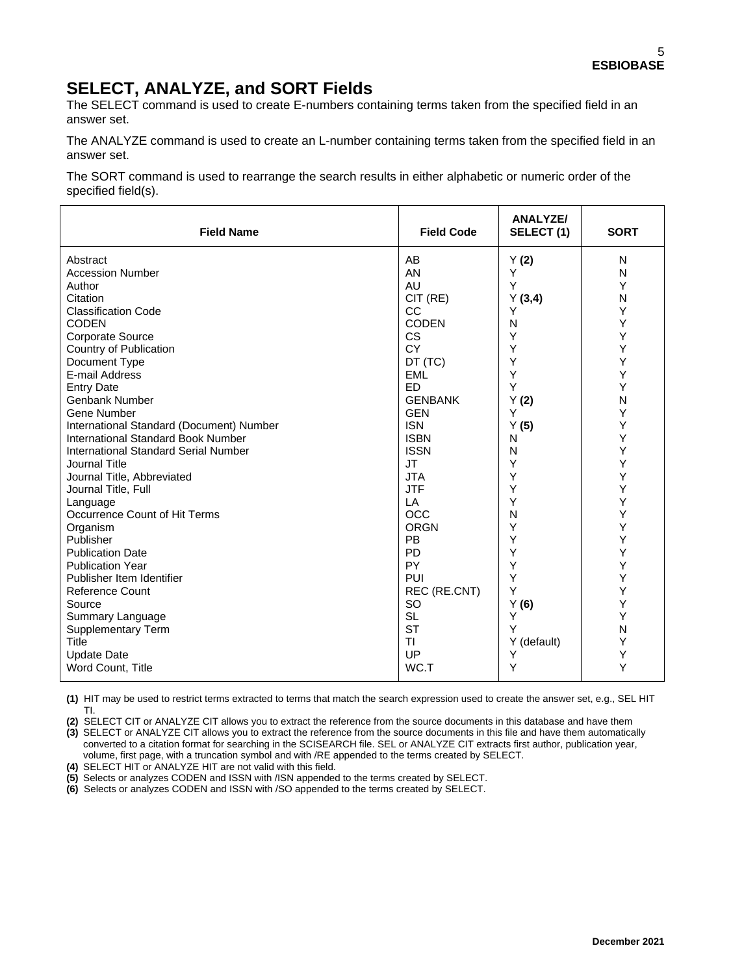# **SELECT, ANALYZE, and SORT Fields**

The SELECT command is used to create E-numbers containing terms taken from the specified field in an answer set.

The ANALYZE command is used to create an L-number containing terms taken from the specified field in an answer set.

The SORT command is used to rearrange the search results in either alphabetic or numeric order of the specified field(s).

| <b>Field Name</b>                         | <b>Field Code</b>      | <b>ANALYZE/</b><br>SELECT (1) | <b>SORT</b> |
|-------------------------------------------|------------------------|-------------------------------|-------------|
| Abstract                                  | AB                     | Y(2)                          | N           |
| <b>Accession Number</b>                   | AN                     | Y                             | N           |
| Author                                    | AU                     | Y                             | Y           |
| Citation                                  | CIT (RE)               | Y(3,4)                        | N           |
| <b>Classification Code</b>                | CC                     | Υ                             | Y           |
| <b>CODEN</b>                              | <b>CODEN</b>           | N                             | Υ           |
| <b>Corporate Source</b>                   | <b>CS</b>              | Υ                             | Υ           |
| Country of Publication                    | <b>CY</b>              | Υ                             | Y           |
| Document Type                             | DT (TC)                | Y                             | Υ           |
| E-mail Address                            | <b>EML</b>             | Y                             | Y           |
| <b>Entry Date</b>                         | <b>ED</b>              | Y                             | Y           |
| <b>Genbank Number</b>                     | <b>GENBANK</b>         | Y(2)                          | N           |
| Gene Number                               | <b>GEN</b>             | Y                             | Υ           |
| International Standard (Document) Number  | <b>ISN</b>             | Y(5)                          | Υ           |
| <b>International Standard Book Number</b> | <b>ISBN</b>            | N                             | Υ           |
| International Standard Serial Number      | <b>ISSN</b>            | N                             | Y           |
| Journal Title                             | <b>JT</b>              | Y                             | Υ           |
| Journal Title, Abbreviated                | <b>JTA</b>             | Υ                             | Υ           |
| Journal Title, Full                       | <b>JTF</b>             | Υ                             | Υ           |
| Language                                  | LA                     | Υ                             | Υ           |
| Occurrence Count of Hit Terms             | <b>OCC</b>             | N                             | Υ           |
| Organism                                  | <b>ORGN</b>            | Y                             | Υ           |
| Publisher                                 | <b>PB</b>              | Υ                             | Υ           |
| <b>Publication Date</b>                   | <b>PD</b>              | Υ                             | Y           |
| <b>Publication Year</b>                   | PY                     | Y                             | Υ           |
| Publisher Item Identifier                 | PUI                    | Y                             | Υ           |
| <b>Reference Count</b>                    | REC (RE.CNT)           | Y                             | Y           |
| Source                                    | SO                     | Y(6)<br>Y                     | Υ<br>Y      |
| Summary Language                          | <b>SL</b><br><b>ST</b> | Y                             | N           |
| <b>Supplementary Term</b><br>Title        | TI                     |                               | Υ           |
| <b>Update Date</b>                        | UP                     | Y (default)<br>Y              | Υ           |
| Word Count, Title                         | WC.T                   | Υ                             | Y           |
|                                           |                        |                               |             |

**(1)** HIT may be used to restrict terms extracted to terms that match the search expression used to create the answer set, e.g., SEL HIT TI.

**(2)** SELECT CIT or ANALYZE CIT allows you to extract the reference from the source documents in this database and have them **(3)** SELECT or ANALYZE CIT allows you to extract the reference from the source documents in this file and have them automatically converted to a citation format for searching in the SCISEARCH file. SEL or ANALYZE CIT extracts first author, publication year, volume, first page, with a truncation symbol and with /RE appended to the terms created by SELECT.

**(4)** SELECT HIT or ANALYZE HIT are not valid with this field.

**(5)** Selects or analyzes CODEN and ISSN with /ISN appended to the terms created by SELECT.

**(6)** Selects or analyzes CODEN and ISSN with /SO appended to the terms created by SELECT.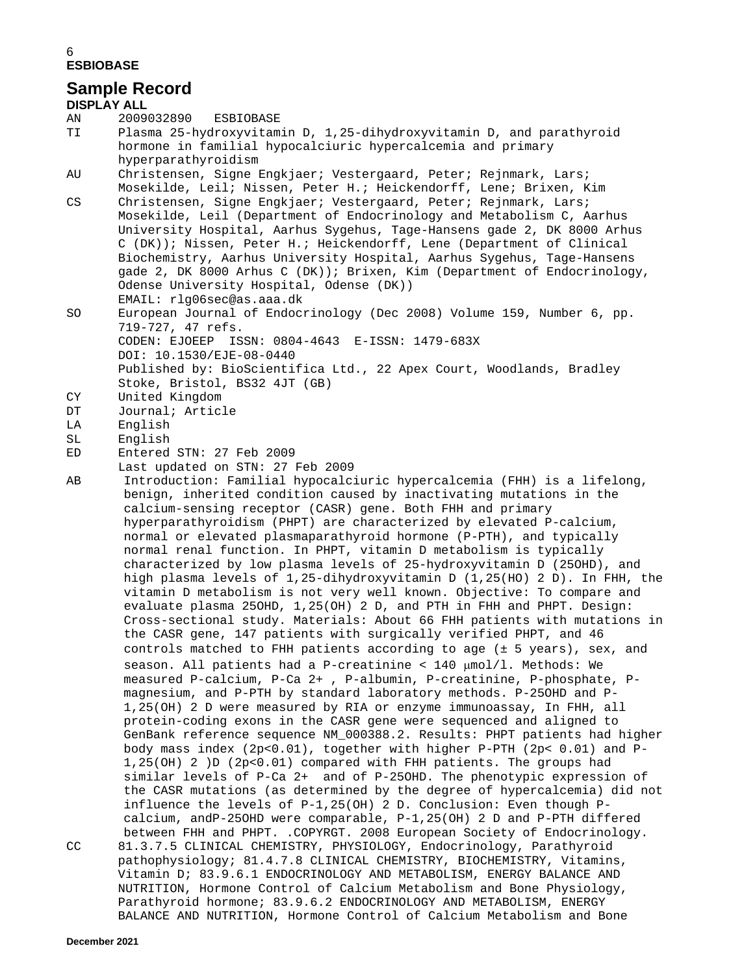#### 6 **ESBIOBASE**

## **Sample Record**

**DISPLAY ALL** AN 2009032890 ESBIOBASE<br>TI Plasma 25-hydroxyvitam Plasma 25-hydroxyvitamin D, 1,25-dihydroxyvitamin D, and parathyroid hormone in familial hypocalciuric hypercalcemia and primary hyperparathyroidism<br>AU Christensen, Signe I Christensen, Signe Engkjaer; Vestergaard, Peter; Rejnmark, Lars; Mosekilde, Leil; Nissen, Peter H.; Heickendorff, Lene; Brixen, Kim<br>CS Christensen, Signe Engkjaer; Vestergaard, Peter; Rejnmark, Lars; Christensen, Signe Engkjaer; Vestergaard, Peter; Rejnmark, Lars; Mosekilde, Leil (Department of Endocrinology and Metabolism C, Aarhus University Hospital, Aarhus Sygehus, Tage-Hansens gade 2, DK 8000 Arhus C (DK)); Nissen, Peter H.; Heickendorff, Lene (Department of Clinical Biochemistry, Aarhus University Hospital, Aarhus Sygehus, Tage-Hansens gade 2, DK 8000 Arhus C (DK)); Brixen, Kim (Department of Endocrinology, Odense University Hospital, Odense (DK)) EMAIL: rlg06sec@as.aaa.dk<br>SO European Journal of Endoci European Journal of Endocrinology (Dec 2008) Volume 159, Number 6, pp. 719-727, 47 refs. CODEN: EJOEEP ISSN: 0804-4643 E-ISSN: 1479-683X DOI: 10.1530/EJE-08-0440 Published by: BioScientifica Ltd., 22 Apex Court, Woodlands, Bradley Stoke, Bristol, BS32 4JT (GB)<br>CY United Kingdom CY United Kingdom<br>DT Journal; Articl DT Journal; Article<br>LA English LA English<br>SL English SL English<br>ED Entered Entered STN: 27 Feb 2009 Last updated on STN: 27 Feb 2009<br>AB Introduction: Familial hypocalc: Introduction: Familial hypocalciuric hypercalcemia (FHH) is a lifelong, benign, inherited condition caused by inactivating mutations in the calcium-sensing receptor (CASR) gene. Both FHH and primary hyperparathyroidism (PHPT) are characterized by elevated P-calcium, normal or elevated plasmaparathyroid hormone (P-PTH), and typically normal renal function. In PHPT, vitamin D metabolism is typically characterized by low plasma levels of 25-hydroxyvitamin D (25OHD), and high plasma levels of 1,25-dihydroxyvitamin D (1,25(HO) 2 D). In FHH, the vitamin D metabolism is not very well known. Objective: To compare and evaluate plasma 25OHD, 1,25(OH) 2 D, and PTH in FHH and PHPT. Design: Cross-sectional study. Materials: About 66 FHH patients with mutations in the CASR gene, 147 patients with surgically verified PHPT, and 46 controls matched to FHH patients according to age (± 5 years), sex, and season. All patients had a P-creatinine < 140 µmol/l. Methods: We measured P-calcium, P-Ca 2+ , P-albumin, P-creatinine, P-phosphate, Pmagnesium, and P-PTH by standard laboratory methods. P-25OHD and P-1,25(OH) 2 D were measured by RIA or enzyme immunoassay, In FHH, all protein-coding exons in the CASR gene were sequenced and aligned to GenBank reference sequence NM\_000388.2. Results: PHPT patients had higher body mass index (2p<0.01), together with higher P-PTH (2p< 0.01) and P-1,25(OH) 2 )D (2p<0.01) compared with FHH patients. The groups had similar levels of P-Ca 2+ and of P-25OHD. The phenotypic expression of the CASR mutations (as determined by the degree of hypercalcemia) did not influence the levels of P-1,25(OH) 2 D. Conclusion: Even though Pcalcium, andP-25OHD were comparable, P-1,25(OH) 2 D and P-PTH differed between FHH and PHPT. .COPYRGT. 2008 European Society of Endocrinology. CC 81.3.7.5 CLINICAL CHEMISTRY, PHYSIOLOGY, Endocrinology, Parathyroid pathophysiology; 81.4.7.8 CLINICAL CHEMISTRY, BIOCHEMISTRY, Vitamins, Vitamin D; 83.9.6.1 ENDOCRINOLOGY AND METABOLISM, ENERGY BALANCE AND NUTRITION, Hormone Control of Calcium Metabolism and Bone Physiology, Parathyroid hormone; 83.9.6.2 ENDOCRINOLOGY AND METABOLISM, ENERGY

BALANCE AND NUTRITION, Hormone Control of Calcium Metabolism and Bone